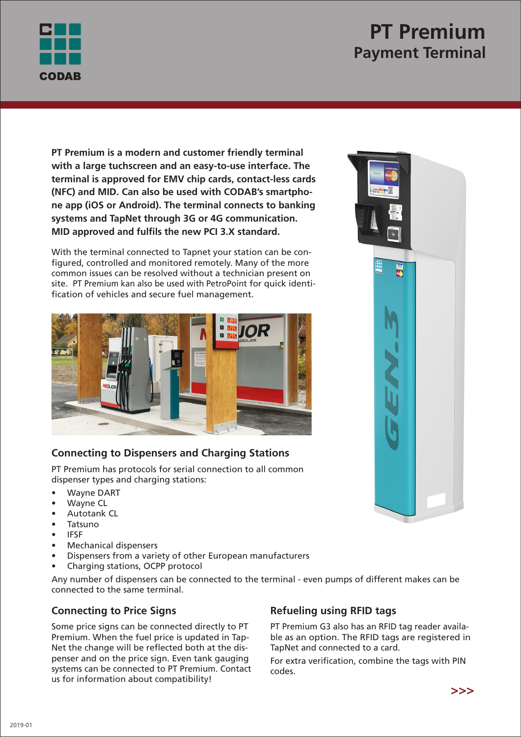

# **PT Premium Payment Terminal**

**PT Premium is a modern and customer friendly terminal with a large tuchscreen and an easy-to-use interface. The terminal is approved for EMV chip cards, contact-less cards (NFC) and MID. Can also be used with CODAB's smartphone app (iOS or Android). The terminal connects to banking systems and TapNet through 3G or 4G communication. MID approved and fulfils the new PCI 3.X standard.**

With the terminal connected to Tapnet your station can be configured, controlled and monitored remotely. Many of the more common issues can be resolved without a technician present on site. PT Premium kan also be used with PetroPoint for quick identification of vehicles and secure fuel management.



# **Connecting to Dispensers and Charging Stations**

PT Premium has protocols for serial connection to all common dispenser types and charging stations:

- Wayne DART
- **Wayne CL**
- Autotank CL
- Tatsuno
- IFSF
- Mechanical dispensers
- Dispensers from a variety of other European manufacturers
- Charging stations, OCPP protocol

Any number of dispensers can be connected to the terminal - even pumps of different makes can be connected to the same terminal.

### **Connecting to Price Signs**

Some price signs can be connected directly to PT Premium. When the fuel price is updated in Tap-Net the change will be reflected both at the dispenser and on the price sign. Even tank gauging systems can be connected to PT Premium. Contact us for information about compatibility!

# **Refueling using RFID tags**

PT Premium G3 also has an RFID tag reader available as an option. The RFID tags are registered in TapNet and connected to a card.

For extra verification, combine the tags with PIN codes.



$$
>>>
$$